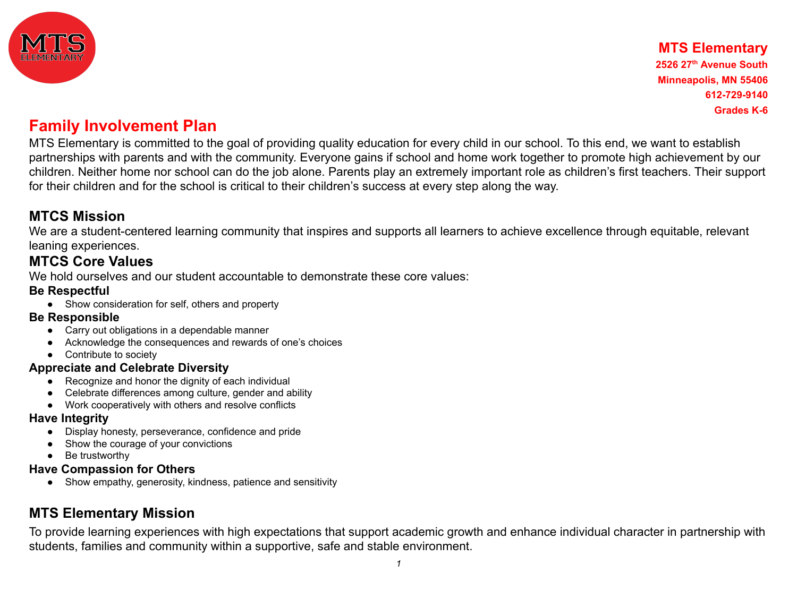

MTS Elementary is committed to the goal of providing quality education for every child in our school. To this end, we want to establish partnerships with parents and with the community. Everyone gains if school and home work together to promote high achievement by our children. Neither home nor school can do the job alone. Parents play an extremely important role as children's first teachers. Their support for their children and for the school is critical to their children's success at every step along the way.

### **MTCS Mission**

We are a student-centered learning community that inspires and supports all learners to achieve excellence through equitable, relevant leaning experiences.

### **MTCS Core Values**

We hold ourselves and our student accountable to demonstrate these core values:

### **Be Respectful**

**●** Show consideration for self, others and property

### **Be Responsible**

- Carry out obligations in a dependable manner
- Acknowledge the consequences and rewards of one's choices
- Contribute to society

### **Appreciate and Celebrate Diversity**

- Recognize and honor the dignity of each individual
- Celebrate differences among culture, gender and ability
- Work cooperatively with others and resolve conflicts

### **Have Integrity**

- Display honesty, perseverance, confidence and pride
- Show the courage of your convictions
- Be trustworthy

### **Have Compassion for Others**

● Show empathy, generosity, kindness, patience and sensitivity

## **MTS Elementary Mission**

To provide learning experiences with high expectations that support academic growth and enhance individual character in partnership with students, families and community within a supportive, safe and stable environment.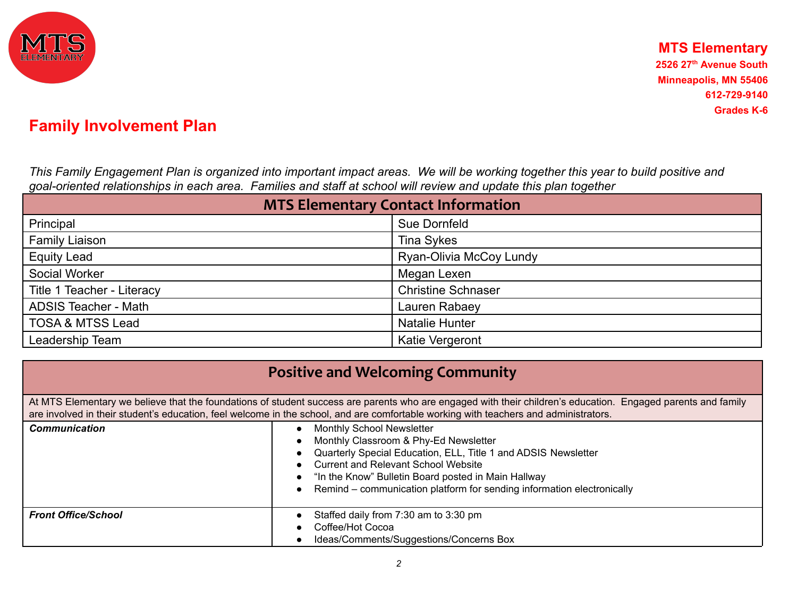

*This Family Engagement Plan is organized into important impact areas. We will be working together this year to build positive and goal-oriented relationships in each area. Families and staff at school will review and update this plan together*

| <b>MTS Elementary Contact Information</b> |                           |  |
|-------------------------------------------|---------------------------|--|
| Principal                                 | Sue Dornfeld              |  |
| <b>Family Liaison</b>                     | <b>Tina Sykes</b>         |  |
| <b>Equity Lead</b>                        | Ryan-Olivia McCoy Lundy   |  |
| Social Worker                             | Megan Lexen               |  |
| Title 1 Teacher - Literacy                | <b>Christine Schnaser</b> |  |
| <b>ADSIS Teacher - Math</b>               | Lauren Rabaey             |  |
| <b>TOSA &amp; MTSS Lead</b>               | <b>Natalie Hunter</b>     |  |
| Leadership Team                           | Katie Vergeront           |  |

| <b>Positive and Welcoming Community</b>                                                                                                                                                                                                                                                              |                                                                                                                                                                                                                                                                                                                            |  |  |
|------------------------------------------------------------------------------------------------------------------------------------------------------------------------------------------------------------------------------------------------------------------------------------------------------|----------------------------------------------------------------------------------------------------------------------------------------------------------------------------------------------------------------------------------------------------------------------------------------------------------------------------|--|--|
| At MTS Elementary we believe that the foundations of student success are parents who are engaged with their children's education. Engaged parents and family<br>are involved in their student's education, feel welcome in the school, and are comfortable working with teachers and administrators. |                                                                                                                                                                                                                                                                                                                            |  |  |
| <b>Communication</b>                                                                                                                                                                                                                                                                                 | <b>Monthly School Newsletter</b><br>Monthly Classroom & Phy-Ed Newsletter<br>Quarterly Special Education, ELL, Title 1 and ADSIS Newsletter<br><b>Current and Relevant School Website</b><br>"In the Know" Bulletin Board posted in Main Hallway<br>Remind – communication platform for sending information electronically |  |  |
| <b>Front Office/School</b>                                                                                                                                                                                                                                                                           | Staffed daily from 7:30 am to 3:30 pm<br>Coffee/Hot Cocoa<br>Ideas/Comments/Suggestions/Concerns Box                                                                                                                                                                                                                       |  |  |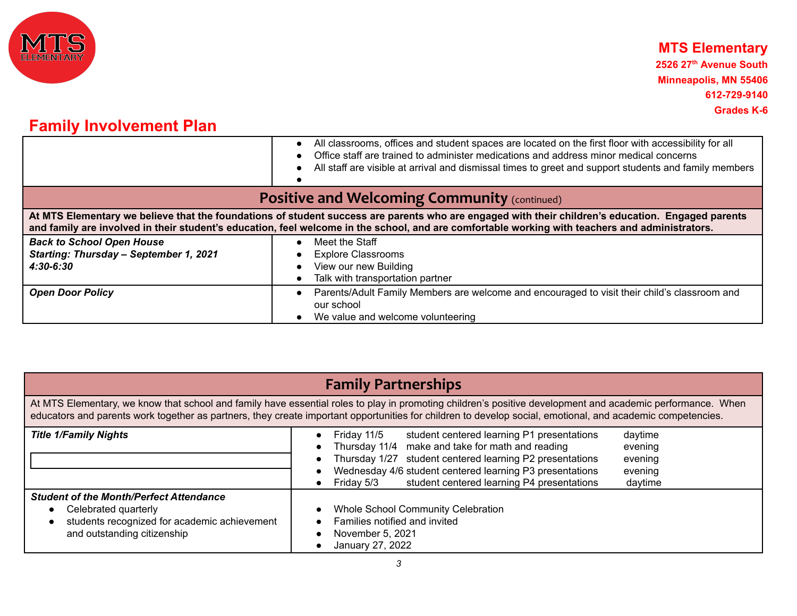

|                                                                                             | All classrooms, offices and student spaces are located on the first floor with accessibility for all<br>Office staff are trained to administer medications and address minor medical concerns<br>All staff are visible at arrival and dismissal times to greet and support students and family members |  |  |
|---------------------------------------------------------------------------------------------|--------------------------------------------------------------------------------------------------------------------------------------------------------------------------------------------------------------------------------------------------------------------------------------------------------|--|--|
| <b>Positive and Welcoming Community (continued)</b>                                         |                                                                                                                                                                                                                                                                                                        |  |  |
|                                                                                             | At MTS Elementary we believe that the foundations of student success are parents who are engaged with their children's education. Engaged parents<br>and family are involved in their student's education, feel welcome in the school, and are comfortable working with teachers and administrators.   |  |  |
| <b>Back to School Open House</b><br>Starting: Thursday - September 1, 2021<br>$4:30 - 6:30$ | Meet the Staff<br><b>Explore Classrooms</b><br>View our new Building<br>Talk with transportation partner                                                                                                                                                                                               |  |  |
| <b>Open Door Policy</b>                                                                     | Parents/Adult Family Members are welcome and encouraged to visit their child's classroom and<br>our school<br>We value and welcome volunteering                                                                                                                                                        |  |  |

|                                                                                                                                                                                                                                                                                                                          | <b>Family Partnerships</b>                                                                                                                                                                                                                                                                                                                                               |  |
|--------------------------------------------------------------------------------------------------------------------------------------------------------------------------------------------------------------------------------------------------------------------------------------------------------------------------|--------------------------------------------------------------------------------------------------------------------------------------------------------------------------------------------------------------------------------------------------------------------------------------------------------------------------------------------------------------------------|--|
| At MTS Elementary, we know that school and family have essential roles to play in promoting children's positive development and academic performance. When<br>educators and parents work together as partners, they create important opportunities for children to develop social, emotional, and academic competencies. |                                                                                                                                                                                                                                                                                                                                                                          |  |
| <b>Title 1/Family Nights</b>                                                                                                                                                                                                                                                                                             | Friday 11/5<br>student centered learning P1 presentations<br>daytime<br>Thursday 11/4 make and take for math and reading<br>evening<br>student centered learning P2 presentations<br>Thursday 1/27<br>evening<br>Wednesday 4/6 student centered learning P3 presentations<br>evening<br>student centered learning P4 presentations<br>Friday 5/3<br>daytime<br>$\bullet$ |  |
| <b>Student of the Month/Perfect Attendance</b><br>Celebrated quarterly<br>students recognized for academic achievement<br>and outstanding citizenship                                                                                                                                                                    | <b>Whole School Community Celebration</b><br>Families notified and invited<br>November 5, 2021<br>January 27, 2022                                                                                                                                                                                                                                                       |  |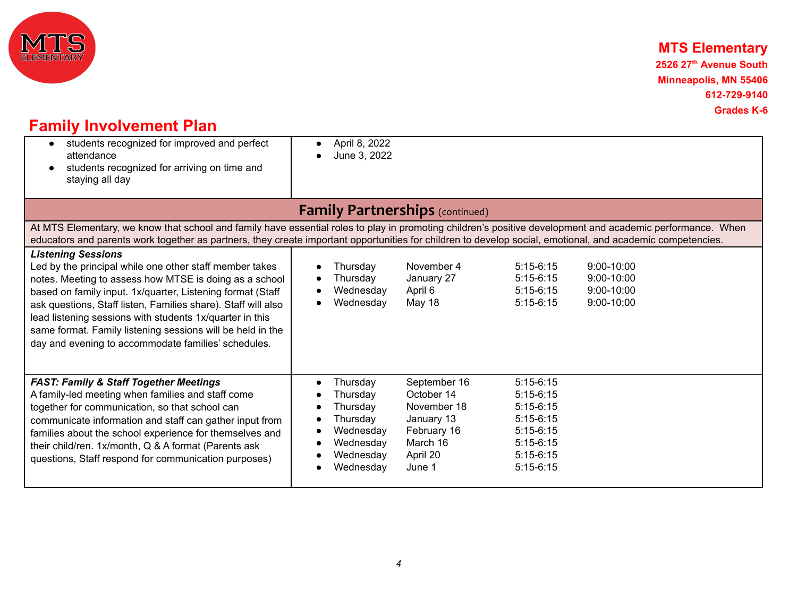

## **MTS Elementary**

**2526 27 th Avenue South Minneapolis, MN 55406 612-729-9140 Grades K-6**

# **Family Involvement Plan**

| students recognized for improved and perfect<br>$\bullet$<br>attendance<br>students recognized for arriving on time and<br>staying all day                                                                                                                                                                                                                                                                                                                     | April 8, 2022<br>June 3, 2022                                                                    |                                                                                                          |                                                                                                                      |                                                              |
|----------------------------------------------------------------------------------------------------------------------------------------------------------------------------------------------------------------------------------------------------------------------------------------------------------------------------------------------------------------------------------------------------------------------------------------------------------------|--------------------------------------------------------------------------------------------------|----------------------------------------------------------------------------------------------------------|----------------------------------------------------------------------------------------------------------------------|--------------------------------------------------------------|
|                                                                                                                                                                                                                                                                                                                                                                                                                                                                | <b>Family Partnerships</b> (continued)                                                           |                                                                                                          |                                                                                                                      |                                                              |
| At MTS Elementary, we know that school and family have essential roles to play in promoting children's positive development and academic performance. When<br>educators and parents work together as partners, they create important opportunities for children to develop social, emotional, and academic competencies.                                                                                                                                       |                                                                                                  |                                                                                                          |                                                                                                                      |                                                              |
| <b>Listening Sessions</b><br>Led by the principal while one other staff member takes<br>notes. Meeting to assess how MTSE is doing as a school<br>based on family input. 1x/quarter, Listening format (Staff<br>ask questions, Staff listen, Families share). Staff will also<br>lead listening sessions with students 1x/quarter in this<br>same format. Family listening sessions will be held in the<br>day and evening to accommodate families' schedules. | Thursday<br>Thursday<br>Wednesday<br>Wednesday                                                   | November 4<br>January 27<br>April 6<br>May 18                                                            | $5:15-6:15$<br>$5:15-6:15$<br>$5:15-6:15$<br>$5:15-6:15$                                                             | 9:00-10:00<br>$9:00 - 10:00$<br>$9:00 - 10:00$<br>9:00-10:00 |
| <b>FAST: Family &amp; Staff Together Meetings</b><br>A family-led meeting when families and staff come<br>together for communication, so that school can<br>communicate information and staff can gather input from<br>families about the school experience for themselves and<br>their child/ren. 1x/month, Q & A format (Parents ask<br>questions, Staff respond for communication purposes)                                                                 | Thursday<br>Thursday<br>Thursday<br>Thursday<br>Wednesday<br>Wednesday<br>Wednesday<br>Wednesday | September 16<br>October 14<br>November 18<br>January 13<br>February 16<br>March 16<br>April 20<br>June 1 | $5:15-6:15$<br>$5:15-6:15$<br>$5:15-6:15$<br>$5:15-6:15$<br>$5:15-6:15$<br>$5:15-6:15$<br>$5:15-6:15$<br>$5:15-6:15$ |                                                              |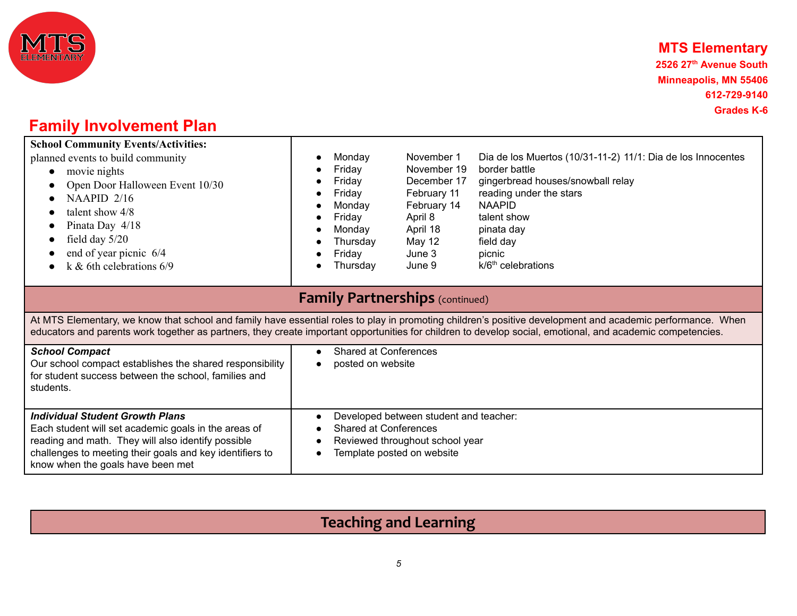

| <b>School Community Events/Activities:</b><br>planned events to build community<br>movie nights<br>$\bullet$<br>Open Door Halloween Event 10/30<br>NAAPID 2/16<br>talent show 4/8<br>$\bullet$<br>Pinata Day 4/18<br>$\bullet$<br>field day $5/20$<br>end of year picnic 6/4<br>k & 6th celebrations $6/9$ | Monday<br>$\bullet$<br>Friday<br>Friday<br>Friday<br>Monday<br>Friday<br>$\bullet$<br>Monday<br>Thursday<br>Friday<br>Thursday<br>$\bullet$ | November 1<br>November 19<br>December 17<br>February 11<br>February 14<br>April 8<br>April 18<br><b>May 12</b><br>June 3<br>June 9 | Dia de los Muertos (10/31-11-2) 11/1: Dia de los Innocentes<br>border battle<br>gingerbread houses/snowball relay<br>reading under the stars<br><b>NAAPID</b><br>talent show<br>pinata day<br>field day<br>picnic<br>$k/6th$ celebrations |
|------------------------------------------------------------------------------------------------------------------------------------------------------------------------------------------------------------------------------------------------------------------------------------------------------------|---------------------------------------------------------------------------------------------------------------------------------------------|------------------------------------------------------------------------------------------------------------------------------------|-------------------------------------------------------------------------------------------------------------------------------------------------------------------------------------------------------------------------------------------|
|                                                                                                                                                                                                                                                                                                            | <b>Family Partnerships</b> (continued)                                                                                                      |                                                                                                                                    |                                                                                                                                                                                                                                           |
| educators and parents work together as partners, they create important opportunities for children to develop social, emotional, and academic competencies.                                                                                                                                                 |                                                                                                                                             |                                                                                                                                    | At MTS Elementary, we know that school and family have essential roles to play in promoting children's positive development and academic performance. When                                                                                |
| <b>School Compact</b><br>Our school compact establishes the shared responsibility<br>for student success between the school, families and<br>students.                                                                                                                                                     | <b>Shared at Conferences</b><br>$\bullet$<br>posted on website                                                                              |                                                                                                                                    |                                                                                                                                                                                                                                           |
| <b>Individual Student Growth Plans</b><br>Each student will set academic goals in the areas of<br>reading and math. They will also identify possible<br>challenges to meeting their goals and key identifiers to<br>know when the goals have been met                                                      | $\bullet$<br><b>Shared at Conferences</b><br>$\bullet$                                                                                      | Developed between student and teacher:<br>Reviewed throughout school year<br>Template posted on website                            |                                                                                                                                                                                                                                           |

# **Teaching and Learning**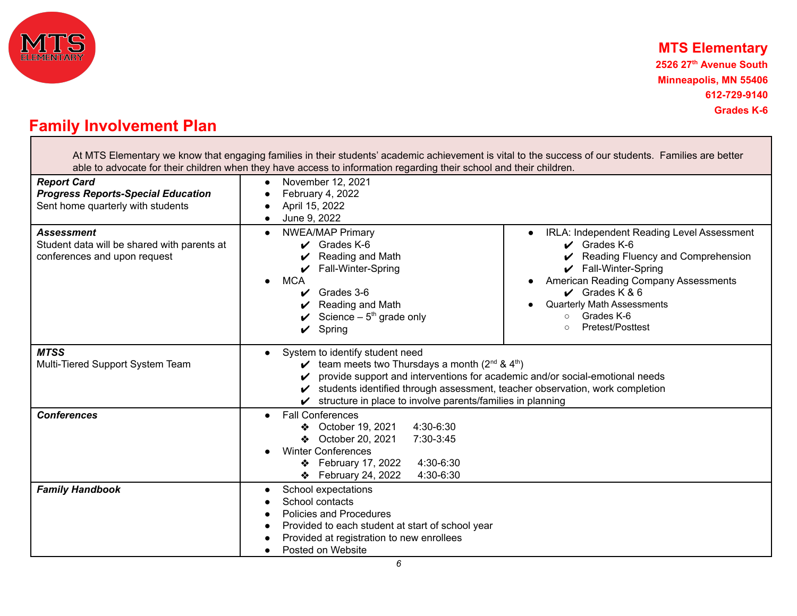

**Grades K-6**

## **Family Involvement Plan**

At MTS Elementary we know that engaging families in their students' academic achievement is vital to the success of our students. Families are better able to advocate for their children when they have access to information regarding their school and their children.

| <b>Report Card</b><br><b>Progress Reports-Special Education</b><br>Sent home quarterly with students<br><b>Assessment</b><br>Student data will be shared with parents at<br>conferences and upon request | November 12, 2021<br>February 4, 2022<br>April 15, 2022<br>June 9, 2022<br><b>NWEA/MAP Primary</b><br>IRLA: Independent Reading Level Assessment<br>$\bullet$<br>$\bullet$<br>$\sqrt{}$ Grades K-6<br>$\vee$ Grades K-6<br>Reading and Math<br>Reading Fluency and Comprehension<br>$\checkmark$ Fall-Winter-Spring<br>Fall-Winter-Spring<br>American Reading Company Assessments<br><b>MCA</b><br>$\bullet$<br>$\vee$ Grades K & 6<br>Grades 3-6<br><b>Quarterly Math Assessments</b><br>Reading and Math<br>$\bullet$<br>Grades K-6<br>Science $-5th$ grade only<br>$\circ$<br>Pretest/Posttest<br>Spring<br>v |
|----------------------------------------------------------------------------------------------------------------------------------------------------------------------------------------------------------|------------------------------------------------------------------------------------------------------------------------------------------------------------------------------------------------------------------------------------------------------------------------------------------------------------------------------------------------------------------------------------------------------------------------------------------------------------------------------------------------------------------------------------------------------------------------------------------------------------------|
| <b>MTSS</b><br>Multi-Tiered Support System Team                                                                                                                                                          | System to identify student need<br>team meets two Thursdays a month $(2^{nd} 8.4^{th})$<br>provide support and interventions for academic and/or social-emotional needs<br>students identified through assessment, teacher observation, work completion<br>V<br>structure in place to involve parents/families in planning                                                                                                                                                                                                                                                                                       |
| <b>Conferences</b>                                                                                                                                                                                       | <b>Fall Conferences</b><br>4:30-6:30<br>❖ October 19, 2021<br>October 20, 2021<br>7:30-3:45<br>❖<br><b>Winter Conferences</b><br>February 17, 2022<br>4:30-6:30<br>❖<br>February 24, 2022<br>4:30-6:30<br>❖                                                                                                                                                                                                                                                                                                                                                                                                      |
| <b>Family Handbook</b>                                                                                                                                                                                   | School expectations<br>$\bullet$<br>School contacts<br>Policies and Procedures<br>Provided to each student at start of school year<br>Provided at registration to new enrollees<br>Posted on Website                                                                                                                                                                                                                                                                                                                                                                                                             |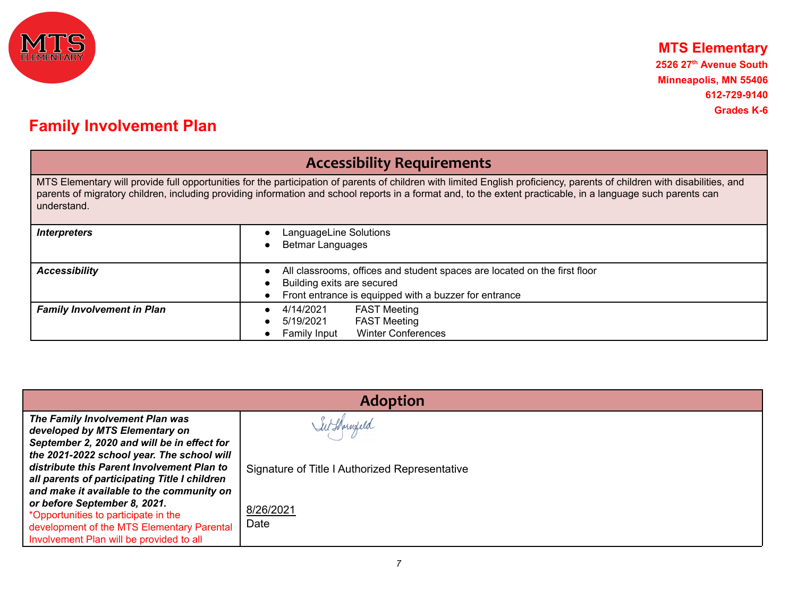

## **Accessibility Requirements**

MTS Elementary will provide full opportunities for the participation of parents of children with limited English proficiency, parents of children with disabilities, and parents of migratory children, including providing information and school reports in a format and, to the extent practicable, in a language such parents can understand.

| <b>Interpreters</b>               | LanguageLine Solutions<br><b>Betmar Languages</b>                                                                                                                |
|-----------------------------------|------------------------------------------------------------------------------------------------------------------------------------------------------------------|
| <b>Accessibility</b>              | All classrooms, offices and student spaces are located on the first floor<br>Building exits are secured<br>Front entrance is equipped with a buzzer for entrance |
| <b>Family Involvement in Plan</b> | <b>FAST Meeting</b><br>4/14/2021<br><b>FAST Meeting</b><br>5/19/2021<br><b>Winter Conferences</b><br>Family Input                                                |

| The Family Involvement Plan was<br>in Shornfeld<br>developed by MTS Elementary on                                                                                                                                                                                                                                                                                                                                                                                              | <b>Adoption</b> |  |  |
|--------------------------------------------------------------------------------------------------------------------------------------------------------------------------------------------------------------------------------------------------------------------------------------------------------------------------------------------------------------------------------------------------------------------------------------------------------------------------------|-----------------|--|--|
| September 2, 2020 and will be in effect for<br>the 2021-2022 school year. The school will<br>distribute this Parent Involvement Plan to<br>Signature of Title I Authorized Representative<br>all parents of participating Title I children<br>and make it available to the community on<br>or before September 8, 2021.<br>8/26/2021<br>*Opportunities to participate in the<br>Date<br>development of the MTS Elementary Parental<br>Involvement Plan will be provided to all |                 |  |  |